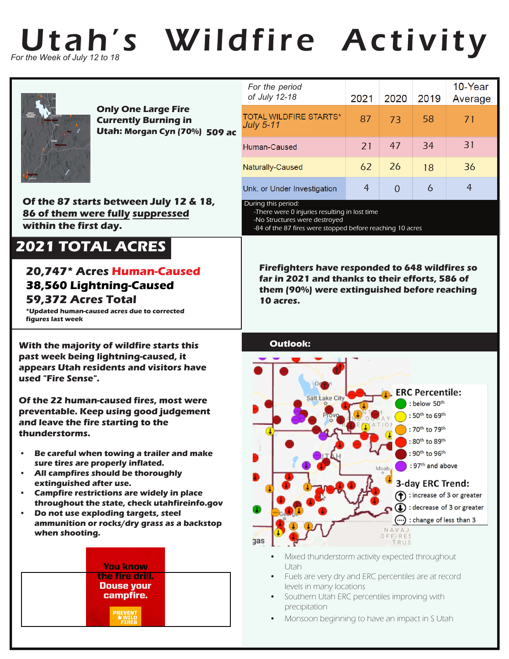## Utah's Wildfire Activity *For the Week of July 12 to 18*



**509 ac Utah: Morgan Cyn (70%) Only One Large Fire Currently Burning in** 

**Of the 87 starts between July 12 & 18, 86 of them were fully suppressed within the first day.**

## **2021 TOTAL ACRES**

## **20,747\* Acres Human-Caused 38,560 Lightning-Caused 59,372 Acres Total**

**\*Updated human-caused acres due to corrected figures last week**

**With the majority of wildfire starts this past week being lightning-caused, it appears Utah residents and visitors have used "Fire Sense".**

**Of the 22 human-caused fires, most were preventable. Keep using good judgement and leave the fire starting to the thunderstorms.**

- **• Be careful when towing a trailer and make sure tires are properly inflated.**
- **All campfires should be thoroughly extinguished after use.**
- **Campfire restrictions are widely in place throughout the state, check utahfireinfo.gov**
- **• Do not use exploding targets, steel ammunition or rocks/dry grass as a backstop when shooting.**



|  | For the period<br>of July 12-18                   | 2021 | 2020 | 2019          | 10-Year<br>Average |
|--|---------------------------------------------------|------|------|---------------|--------------------|
|  | <b>TOTAL WILDFIRE STARTS*</b><br><b>July 5-11</b> | 87   | 73   | 58            | 71                 |
|  | Human-Caused                                      | 21   | 47   | 34            | 31                 |
|  | Naturally-Caused                                  | 62   | 26   | 18            | 36                 |
|  | Unk. or Under Investigation                       | 4    |      | $\mathfrak b$ |                    |

During this period:

-There were 0 injuries resulting in lost time -No Structures were destroyed -84 of the 87 fires were stopped before reaching 10 acres

**Firefighters have responded to 648 wildfires so far in 2021 and thanks to their efforts, 586 of them (90%) were extinguished before reaching 10 acres.**



- Mixed thunderstorm activity expected throughout Utah
- Fuels are very dry and ERC percentiles are at record levels in many locations
- Southern Utah ERC percentiles improving with precipitation
- Monsoon beginning to have an impact in S Utah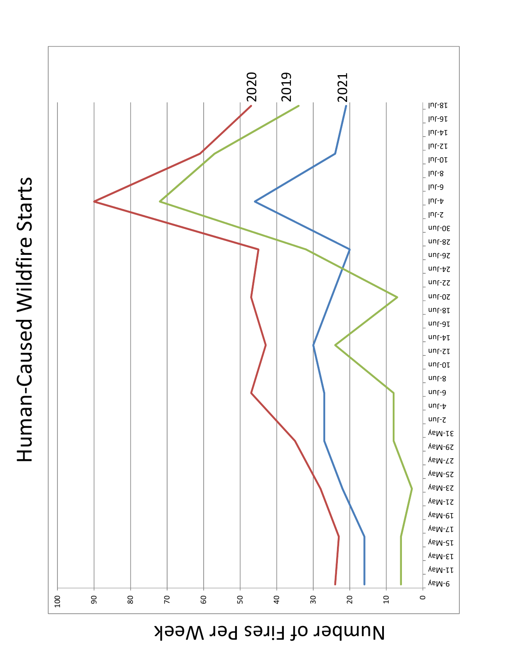Human-Caused Wildfire Starts Human-Caused Wildfire Starts



Number of Fires Per Week